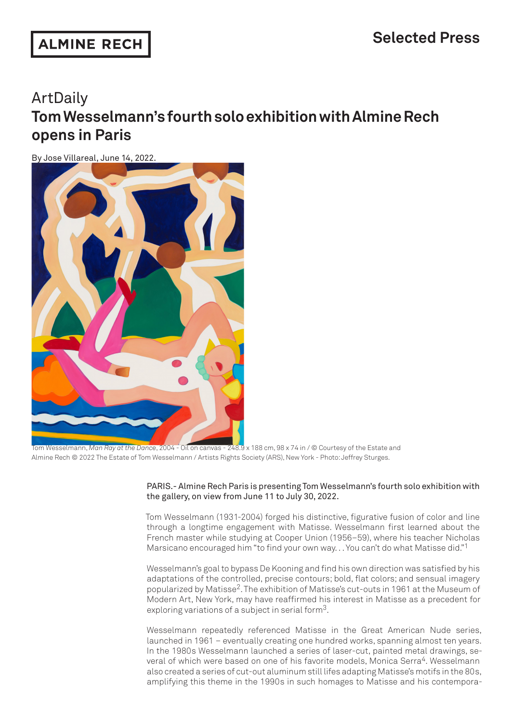### **ALMINE RECH**

# ArtDaily **Tom Wesselmann's fourth solo exhibition with Almine Rech opens in Paris**

By Jose Villareal, June 14, 2022.



Tom Wesselmann, *Man Ray at the Dance*, 2004 - Oil on canvas - 248.9 x 188 cm, 98 x 74 in / © Courtesy of the Estate and Almine Rech © 2022 The Estate of Tom Wesselmann / Artists Rights Society (ARS), New York - Photo: Jeffrey Sturges.

PARIS.- Almine Rech Paris is presenting Tom Wesselmann's fourth solo exhibition with the gallery, on view from June 11 to July 30, 2022.

Tom Wesselmann (1931-2004) forged his distinctive, figurative fusion of color and line through a longtime engagement with Matisse. Wesselmann first learned about the French master while studying at Cooper Union (1956–59), where his teacher Nicholas Marsicano encouraged him "to find your own way. . . You can't do what Matisse did."1

Wesselmann's goal to bypass De Kooning and find his own direction was satisfied by his adaptations of the controlled, precise contours; bold, flat colors; and sensual imagery popularized by Matisse2. The exhibition of Matisse's cut-outs in 1961 at the Museum of Modern Art, New York, may have reaffirmed his interest in Matisse as a precedent for exploring variations of a subject in serial form3.

Wesselmann repeatedly referenced Matisse in the Great American Nude series, launched in 1961 – eventually creating one hundred works, spanning almost ten years. In the 1980s Wesselmann launched a series of laser-cut, painted metal drawings, several of which were based on one of his favorite models, Monica Serra<sup>4</sup>. Wesselmann also created a series of cut-out aluminum still lifes adapting Matisse's motifs in the 80s, amplifying this theme in the 1990s in such homages to Matisse and his contempora-